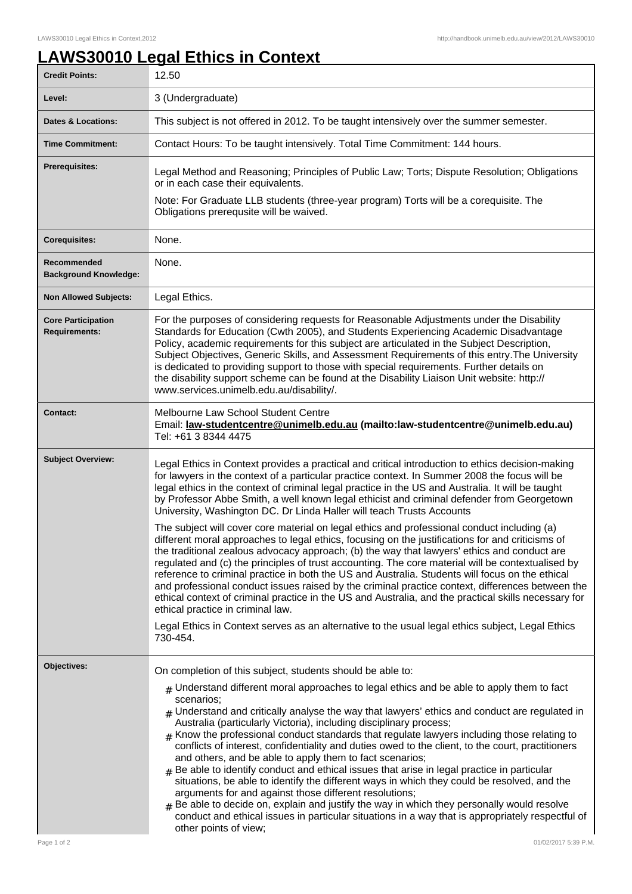## **LAWS30010 Legal Ethics in Context**

| <b>Credit Points:</b>                             | 12.50                                                                                                                                                                                                                                                                                                                                                                                                                                                                                                                                                                                                                                                                                                                                                                                                                                                                                                                                                                                                                                                                                                             |
|---------------------------------------------------|-------------------------------------------------------------------------------------------------------------------------------------------------------------------------------------------------------------------------------------------------------------------------------------------------------------------------------------------------------------------------------------------------------------------------------------------------------------------------------------------------------------------------------------------------------------------------------------------------------------------------------------------------------------------------------------------------------------------------------------------------------------------------------------------------------------------------------------------------------------------------------------------------------------------------------------------------------------------------------------------------------------------------------------------------------------------------------------------------------------------|
| Level:                                            | 3 (Undergraduate)                                                                                                                                                                                                                                                                                                                                                                                                                                                                                                                                                                                                                                                                                                                                                                                                                                                                                                                                                                                                                                                                                                 |
| <b>Dates &amp; Locations:</b>                     | This subject is not offered in 2012. To be taught intensively over the summer semester.                                                                                                                                                                                                                                                                                                                                                                                                                                                                                                                                                                                                                                                                                                                                                                                                                                                                                                                                                                                                                           |
| <b>Time Commitment:</b>                           | Contact Hours: To be taught intensively. Total Time Commitment: 144 hours.                                                                                                                                                                                                                                                                                                                                                                                                                                                                                                                                                                                                                                                                                                                                                                                                                                                                                                                                                                                                                                        |
| <b>Prerequisites:</b>                             | Legal Method and Reasoning; Principles of Public Law; Torts; Dispute Resolution; Obligations<br>or in each case their equivalents.<br>Note: For Graduate LLB students (three-year program) Torts will be a corequisite. The<br>Obligations prerequsite will be waived.                                                                                                                                                                                                                                                                                                                                                                                                                                                                                                                                                                                                                                                                                                                                                                                                                                            |
| <b>Corequisites:</b>                              | None.                                                                                                                                                                                                                                                                                                                                                                                                                                                                                                                                                                                                                                                                                                                                                                                                                                                                                                                                                                                                                                                                                                             |
| Recommended<br><b>Background Knowledge:</b>       | None.                                                                                                                                                                                                                                                                                                                                                                                                                                                                                                                                                                                                                                                                                                                                                                                                                                                                                                                                                                                                                                                                                                             |
| <b>Non Allowed Subjects:</b>                      | Legal Ethics.                                                                                                                                                                                                                                                                                                                                                                                                                                                                                                                                                                                                                                                                                                                                                                                                                                                                                                                                                                                                                                                                                                     |
| <b>Core Participation</b><br><b>Requirements:</b> | For the purposes of considering requests for Reasonable Adjustments under the Disability<br>Standards for Education (Cwth 2005), and Students Experiencing Academic Disadvantage<br>Policy, academic requirements for this subject are articulated in the Subject Description,<br>Subject Objectives, Generic Skills, and Assessment Requirements of this entry. The University<br>is dedicated to providing support to those with special requirements. Further details on<br>the disability support scheme can be found at the Disability Liaison Unit website: http://<br>www.services.unimelb.edu.au/disability/.                                                                                                                                                                                                                                                                                                                                                                                                                                                                                             |
| <b>Contact:</b>                                   | Melbourne Law School Student Centre<br>Email: <u>law-studentcentre@unimelb.edu.au</u> (mailto:law-studentcentre@unimelb.edu.au)<br>Tel: +61 3 8344 4475                                                                                                                                                                                                                                                                                                                                                                                                                                                                                                                                                                                                                                                                                                                                                                                                                                                                                                                                                           |
| <b>Subject Overview:</b>                          | Legal Ethics in Context provides a practical and critical introduction to ethics decision-making<br>for lawyers in the context of a particular practice context. In Summer 2008 the focus will be<br>legal ethics in the context of criminal legal practice in the US and Australia. It will be taught<br>by Professor Abbe Smith, a well known legal ethicist and criminal defender from Georgetown<br>University, Washington DC. Dr Linda Haller will teach Trusts Accounts<br>The subject will cover core material on legal ethics and professional conduct including (a)<br>different moral approaches to legal ethics, focusing on the justifications for and criticisms of<br>the traditional zealous advocacy approach; (b) the way that lawyers' ethics and conduct are<br>regulated and (c) the principles of trust accounting. The core material will be contextualised by                                                                                                                                                                                                                              |
|                                                   | reference to criminal practice in both the US and Australia. Students will focus on the ethical<br>and professional conduct issues raised by the criminal practice context, differences between the<br>ethical context of criminal practice in the US and Australia, and the practical skills necessary for<br>ethical practice in criminal law.<br>Legal Ethics in Context serves as an alternative to the usual legal ethics subject, Legal Ethics                                                                                                                                                                                                                                                                                                                                                                                                                                                                                                                                                                                                                                                              |
|                                                   | 730-454.                                                                                                                                                                                                                                                                                                                                                                                                                                                                                                                                                                                                                                                                                                                                                                                                                                                                                                                                                                                                                                                                                                          |
| Objectives:                                       | On completion of this subject, students should be able to:<br>$#$ Understand different moral approaches to legal ethics and be able to apply them to fact<br>scenarios;<br>$_{\#}$ Understand and critically analyse the way that lawyers' ethics and conduct are regulated in<br>Australia (particularly Victoria), including disciplinary process;<br>$#$ Know the professional conduct standards that regulate lawyers including those relating to<br>conflicts of interest, confidentiality and duties owed to the client, to the court, practitioners<br>and others, and be able to apply them to fact scenarios;<br>$_{\#}$ Be able to identify conduct and ethical issues that arise in legal practice in particular<br>situations, be able to identify the different ways in which they could be resolved, and the<br>arguments for and against those different resolutions;<br>$#$ Be able to decide on, explain and justify the way in which they personally would resolve<br>conduct and ethical issues in particular situations in a way that is appropriately respectful of<br>other points of view; |